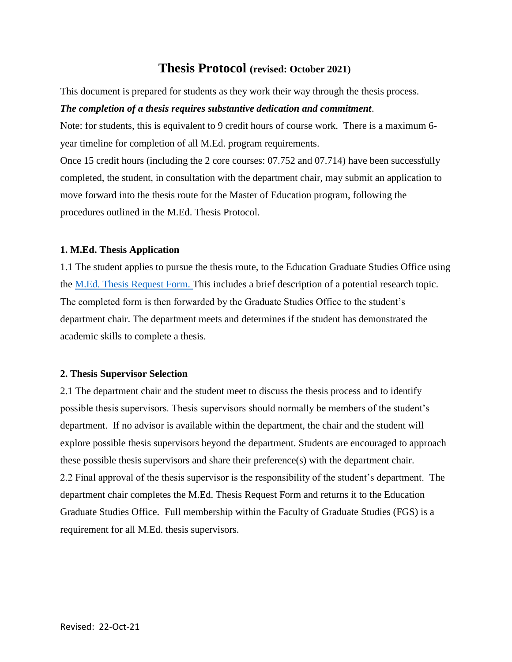# **Thesis Protocol (revised: October 2021)**

This document is prepared for students as they work their way through the thesis process.

#### *The completion of a thesis requires substantive dedication and commitment*.

Note: for students, this is equivalent to 9 credit hours of course work. There is a maximum 6 year timeline for completion of all M.Ed. program requirements.

Once 15 credit hours (including the 2 core courses: 07.752 and 07.714) have been successfully completed, the student, in consultation with the department chair, may submit an application to move forward into the thesis route for the Master of Education program, following the procedures outlined in the M.Ed. Thesis Protocol.

### **1. M.Ed. Thesis Application**

1.1 The student applies to pursue the thesis route, to the Education Graduate Studies Office using the [M.Ed. Thesis Request Form.](https://www.brandonu.ca/master-education/projectthesispracticum-guidelines/) This includes a brief description of a potential research topic. The completed form is then forwarded by the Graduate Studies Office to the student's department chair. The department meets and determines if the student has demonstrated the academic skills to complete a thesis.

#### **2. Thesis Supervisor Selection**

2.1 The department chair and the student meet to discuss the thesis process and to identify possible thesis supervisors. Thesis supervisors should normally be members of the student's department. If no advisor is available within the department, the chair and the student will explore possible thesis supervisors beyond the department. Students are encouraged to approach these possible thesis supervisors and share their preference(s) with the department chair. 2.2 Final approval of the thesis supervisor is the responsibility of the student's department. The department chair completes the M.Ed. Thesis Request Form and returns it to the Education Graduate Studies Office. Full membership within the Faculty of Graduate Studies (FGS) is a requirement for all M.Ed. thesis supervisors.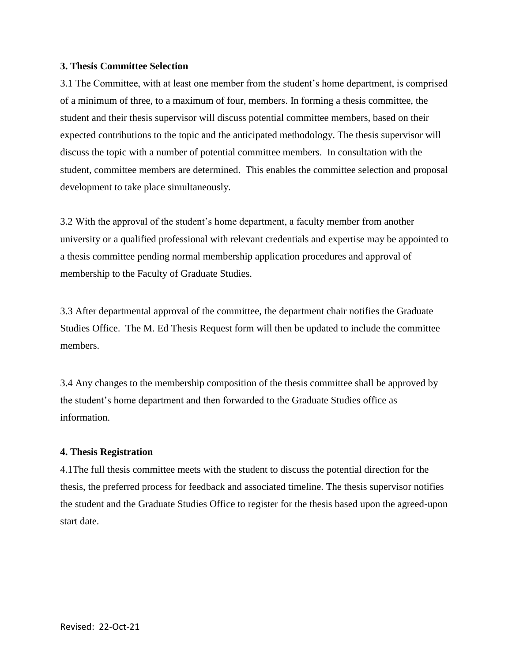### **3. Thesis Committee Selection**

3.1 The Committee, with at least one member from the student's home department, is comprised of a minimum of three, to a maximum of four, members. In forming a thesis committee, the student and their thesis supervisor will discuss potential committee members, based on their expected contributions to the topic and the anticipated methodology. The thesis supervisor will discuss the topic with a number of potential committee members. In consultation with the student, committee members are determined. This enables the committee selection and proposal development to take place simultaneously.

3.2 With the approval of the student's home department, a faculty member from another university or a qualified professional with relevant credentials and expertise may be appointed to a thesis committee pending normal membership application procedures and approval of membership to the Faculty of Graduate Studies.

3.3 After departmental approval of the committee, the department chair notifies the Graduate Studies Office. The M. Ed Thesis Request form will then be updated to include the committee members.

3.4 Any changes to the membership composition of the thesis committee shall be approved by the student's home department and then forwarded to the Graduate Studies office as information.

## **4. Thesis Registration**

4.1The full thesis committee meets with the student to discuss the potential direction for the thesis, the preferred process for feedback and associated timeline. The thesis supervisor notifies the student and the Graduate Studies Office to register for the thesis based upon the agreed-upon start date.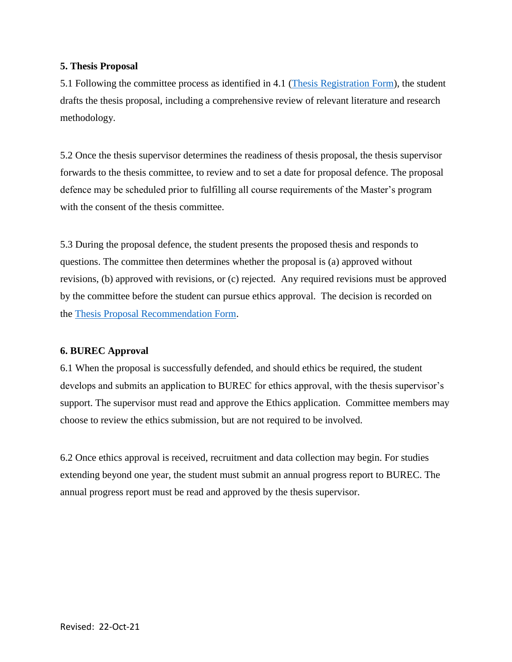## **5. Thesis Proposal**

5.1 Following the committee process as identified in 4.1 [\(Thesis Registration](https://www.brandonu.ca/master-education/projectthesispracticum-guidelines/) Form), the student drafts the thesis proposal, including a comprehensive review of relevant literature and research methodology.

5.2 Once the thesis supervisor determines the readiness of thesis proposal, the thesis supervisor forwards to the thesis committee, to review and to set a date for proposal defence. The proposal defence may be scheduled prior to fulfilling all course requirements of the Master's program with the consent of the thesis committee.

5.3 During the proposal defence, the student presents the proposed thesis and responds to questions. The committee then determines whether the proposal is (a) approved without revisions, (b) approved with revisions, or (c) rejected. Any required revisions must be approved by the committee before the student can pursue ethics approval. The decision is recorded on the [Thesis Proposal Recommendation Form.](https://www.brandonu.ca/education-graduate-studies/files/2018/10/Master_of_Education_Thesis-Proposal-Recommendation-Form.docx)

## **6. BUREC Approval**

6.1 When the proposal is successfully defended, and should ethics be required, the student develops and submits an application to BUREC for ethics approval, with the thesis supervisor's support. The supervisor must read and approve the Ethics application. Committee members may choose to review the ethics submission, but are not required to be involved.

6.2 Once ethics approval is received, recruitment and data collection may begin. For studies extending beyond one year, the student must submit an annual progress report to BUREC. The annual progress report must be read and approved by the thesis supervisor.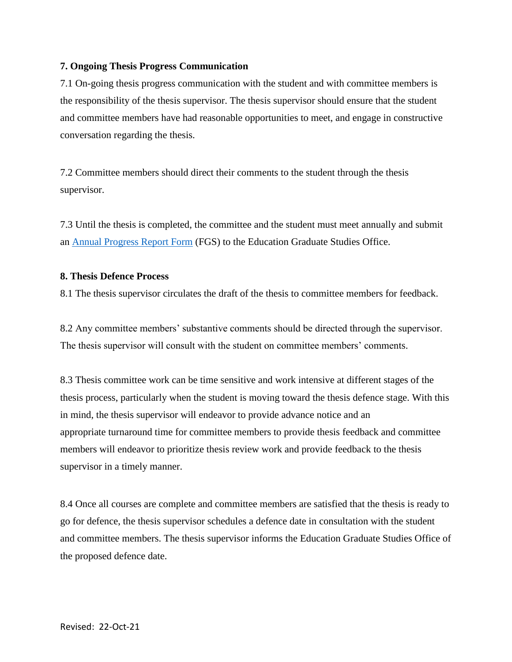## **7. Ongoing Thesis Progress Communication**

7.1 On-going thesis progress communication with the student and with committee members is the responsibility of the thesis supervisor. The thesis supervisor should ensure that the student and committee members have had reasonable opportunities to meet, and engage in constructive conversation regarding the thesis.

7.2 Committee members should direct their comments to the student through the thesis supervisor.

7.3 Until the thesis is completed, the committee and the student must meet annually and submit an [Annual Progress Report Form](https://www.brandonu.ca/master-education/projectthesispracticum-guidelines/) (FGS) to the Education Graduate Studies Office.

#### **8. Thesis Defence Process**

8.1 The thesis supervisor circulates the draft of the thesis to committee members for feedback.

8.2 Any committee members' substantive comments should be directed through the supervisor. The thesis supervisor will consult with the student on committee members' comments.

8.3 Thesis committee work can be time sensitive and work intensive at different stages of the thesis process, particularly when the student is moving toward the thesis defence stage. With this in mind, the thesis supervisor will endeavor to provide advance notice and an appropriate turnaround time for committee members to provide thesis feedback and committee members will endeavor to prioritize thesis review work and provide feedback to the thesis supervisor in a timely manner.

8.4 Once all courses are complete and committee members are satisfied that the thesis is ready to go for defence, the thesis supervisor schedules a defence date in consultation with the student and committee members. The thesis supervisor informs the Education Graduate Studies Office of the proposed defence date.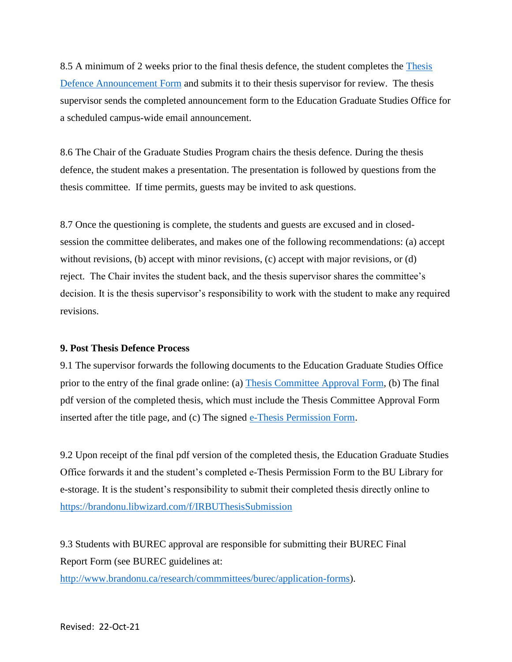8.5 A minimum of 2 weeks prior to the final thesis defence, the student completes the [Thesis](https://www.brandonu.ca/master-education/projectthesispracticum-guidelines/)  [Defence Announcement Form](https://www.brandonu.ca/master-education/projectthesispracticum-guidelines/) and submits it to their thesis supervisor for review. The thesis supervisor sends the completed announcement form to the Education Graduate Studies Office for a scheduled campus-wide email announcement.

8.6 The Chair of the Graduate Studies Program chairs the thesis defence. During the thesis defence, the student makes a presentation. The presentation is followed by questions from the thesis committee. If time permits, guests may be invited to ask questions.

8.7 Once the questioning is complete, the students and guests are excused and in closedsession the committee deliberates, and makes one of the following recommendations: (a) accept without revisions, (b) accept with minor revisions, (c) accept with major revisions, or (d) reject. The Chair invites the student back, and the thesis supervisor shares the committee's decision. It is the thesis supervisor's responsibility to work with the student to make any required revisions.

## **9. Post Thesis Defence Process**

9.1 The supervisor forwards the following documents to the Education Graduate Studies Office prior to the entry of the final grade online: (a) [Thesis Committee Approval Form,](https://www.brandonu.ca/master-education/projectthesispracticum-guidelines/) (b) The final pdf version of the completed thesis, which must include the Thesis Committee Approval Form inserted after the title page, and (c) The signed [e-Thesis Permission Form.](https://www.brandonu.ca/master-education/projectthesispracticum-guidelines/)

9.2 Upon receipt of the final pdf version of the completed thesis, the Education Graduate Studies Office forwards it and the student's completed e-Thesis Permission Form to the BU Library for e-storage. It is the student's responsibility to submit their completed thesis directly online to <https://brandonu.libwizard.com/f/IRBUThesisSubmission>

9.3 Students with BUREC approval are responsible for submitting their BUREC Final Report Form (see BUREC guidelines at:

[http://www.brandonu.ca/research/commmittees/burec/application-forms\)](http://www.brandonu.ca/research/commmittees/burec/application-forms).